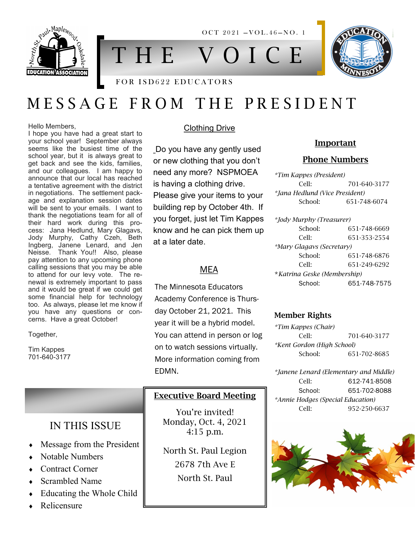

T H E V O I C E

 $OCT 2021 - VOL.46 - NO.1$ 

### FOR ISD622 EDUCATORS

# M E S S A G E F R O M T H E P R E S I D E N T

#### Hello Members,

I hope you have had a great start to your school year! September always seems like the busiest time of the school year, but it is always great to get back and see the kids, families, and our colleagues. I am happy to announce that our local has reached a tentative agreement with the district in negotiations. The settlement package and explanation session dates will be sent to your emails. I want to thank the negotiations team for all of their hard work during this process: Jana Hedlund, Mary Glagavs, Jody Murphy, Cathy Czeh, Beth Ingberg, Janene Lenard, and Jen Neisse. Thank You!! Also, please pay attention to any upcoming phone calling sessions that you may be able to attend for our levy vote. The renewal is extremely important to pass and it would be great if we could get some financial help for technology too. As always, please let me know if you have any questions or concerns. Have a great October!

#### Together,

Tim Kappes 701-640-3177

### Clothing Drive

Do you have any gently used or new clothing that you don't need any more? NSPMOEA is having a clothing drive. Please give your items to your building rep by October 4th. If you forget, just let Tim Kappes know and he can pick them up at a later date.

### MEA

The Minnesota Educators Academy Conference is Thursday October 21, 2021. This year it will be a hybrid model. You can attend in person or log on to watch sessions virtually. More information coming from EDMN.

### Executive Board Meeting

You're invited! Monday, Oct. 4, 2021 4:15 p.m.

North St. Paul Legion 2678 7th Ave E North St. Paul

### Important

### Phone Numbers

*\*Tim Kappes (President)* Cell: 701-640-3177 *\*Jana Hedlund (Vice President)* School: 651-748-6074

*\*Jody Murphy (Treasurer)* School: 651-748-6669 Cell: 651-353-2554 *\*Mary Glagavs (Secretary)* School: 651-748-6876 Cell: 651-249-6292 \**Katrina Geske (Membership)* School: 651-748-7575

### Member Rights

*\*Tim Kappes (Chair)* Cell: 701-640-3177 *\*Kent Gordon (High School)* School: 651-702-8685

*\*Janene Lenard (Elementary and Middle)* Cell: 612-741-8508 School: 651-702-8088 *\*Annie Hodges (Special Education)* Cell: 952-250-6637



## IN THIS ISSUE

- Message from the President
- Notable Numbers
- Contract Corner
- Scrambled Name
- Educating the Whole Child
- Relicensure